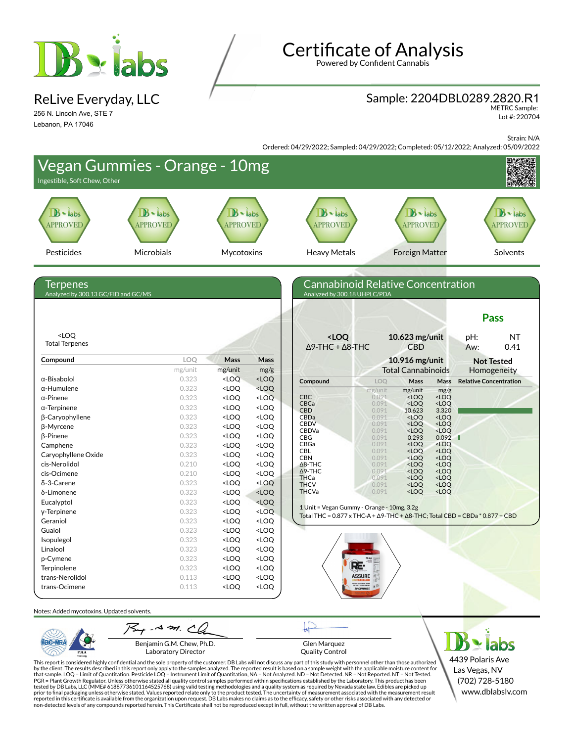

ReLive Everyday, LLC

256 N. Lincoln Ave, STE 7 Lebanon, PA 17046

# Certificate of Analysis

Powered by Confident Cannabis

#### Sample: 2204DBL0289.2820.R1

METRC Sample: Lot #: 220704

Strain: N/A

Ordered: 04/29/2022; Sampled: 04/29/2022; Completed: 05/12/2022; Analyzed: 05/09/2022



Benjamin G.M. Chew, Ph.D. Laboratory Director

PJLA

Glen Marquez Quality Control

This report is considered highly confidential and the sole property of the customer. DB Labs will not discuss any part of this study with personnel other than those authorized<br>by the client. The results described in this PGR = Plant Growth Regulator. Unless otherwise stated all quality control samples performed within specifications established by the Laboratory. This product has been tested by DB Labs, LLC (MME# 61887736101164525768) using valid testing methodologies and a quality system as required by Nevada state law. Edibles are picked up<br>prior to final packaging unless otherwise stated. Values repo reported in this certificate is available from the organization upon request. DB Labs makes no claims as to the efficacy, safety or other risks associated with any detected or<br>non-detected levels of any compounds reported

4439 Polaris Ave Las Vegas, NV (702) 728-5180 www.dblabslv.com